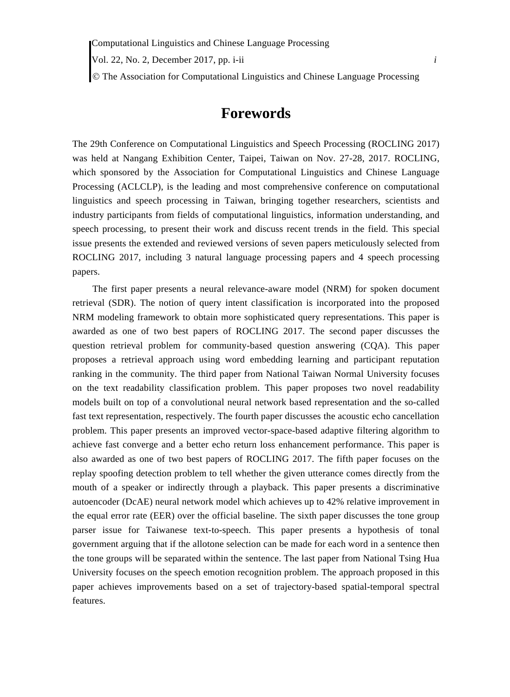Vol. 22, No. 2, December 2017, pp. i-ii *i*

The Association for Computational Linguistics and Chinese Language Processing

## **Forewords**

The 29th Conference on Computational Linguistics and Speech Processing (ROCLING 2017) was held at Nangang Exhibition Center, Taipei, Taiwan on Nov. 27-28, 2017. ROCLING, which sponsored by the Association for Computational Linguistics and Chinese Language Processing (ACLCLP), is the leading and most comprehensive conference on computational linguistics and speech processing in Taiwan, bringing together researchers, scientists and industry participants from fields of computational linguistics, information understanding, and speech processing, to present their work and discuss recent trends in the field. This special issue presents the extended and reviewed versions of seven papers meticulously selected from ROCLING 2017, including 3 natural language processing papers and 4 speech processing papers.

The first paper presents a neural relevance-aware model (NRM) for spoken document retrieval (SDR). The notion of query intent classification is incorporated into the proposed NRM modeling framework to obtain more sophisticated query representations. This paper is awarded as one of two best papers of ROCLING 2017. The second paper discusses the question retrieval problem for community-based question answering (CQA). This paper proposes a retrieval approach using word embedding learning and participant reputation ranking in the community. The third paper from National Taiwan Normal University focuses on the text readability classification problem. This paper proposes two novel readability models built on top of a convolutional neural network based representation and the so-called fast text representation, respectively. The fourth paper discusses the acoustic echo cancellation problem. This paper presents an improved vector-space-based adaptive filtering algorithm to achieve fast converge and a better echo return loss enhancement performance. This paper is also awarded as one of two best papers of ROCLING 2017. The fifth paper focuses on the replay spoofing detection problem to tell whether the given utterance comes directly from the mouth of a speaker or indirectly through a playback. This paper presents a discriminative autoencoder (DcAE) neural network model which achieves up to 42% relative improvement in the equal error rate (EER) over the official baseline. The sixth paper discusses the tone group parser issue for Taiwanese text-to-speech. This paper presents a hypothesis of tonal government arguing that if the allotone selection can be made for each word in a sentence then the tone groups will be separated within the sentence. The last paper from National Tsing Hua University focuses on the speech emotion recognition problem. The approach proposed in this paper achieves improvements based on a set of trajectory-based spatial-temporal spectral features.